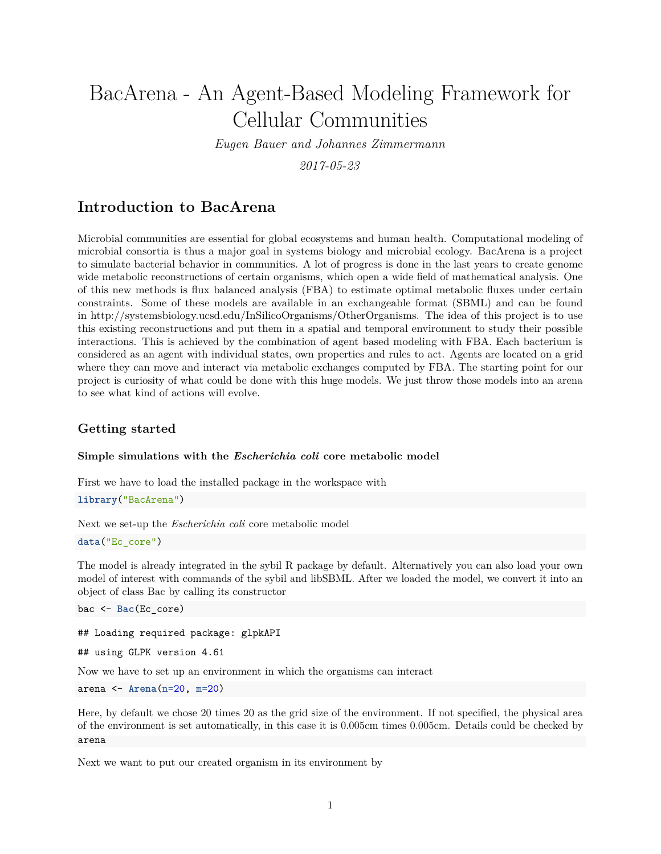# BacArena - An Agent-Based Modeling Framework for Cellular Communities

*Eugen Bauer and Johannes Zimmermann*

*2017-05-23*

## **Introduction to BacArena**

Microbial communities are essential for global ecosystems and human health. Computational modeling of microbial consortia is thus a major goal in systems biology and microbial ecology. BacArena is a project to simulate bacterial behavior in communities. A lot of progress is done in the last years to create genome wide metabolic reconstructions of certain organisms, which open a wide field of mathematical analysis. One of this new methods is flux balanced analysis (FBA) to estimate optimal metabolic fluxes under certain constraints. Some of these models are available in an exchangeable format (SBML) and can be found in [http://systemsbiology.ucsd.edu/InSilicoOrganisms/OtherOrganisms.](http://systemsbiology.ucsd.edu/InSilicoOrganisms/OtherOrganisms) The idea of this project is to use this existing reconstructions and put them in a spatial and temporal environment to study their possible interactions. This is achieved by the combination of agent based modeling with FBA. Each bacterium is considered as an agent with individual states, own properties and rules to act. Agents are located on a grid where they can move and interact via metabolic exchanges computed by FBA. The starting point for our project is curiosity of what could be done with this huge models. We just throw those models into an arena to see what kind of actions will evolve.

### **Getting started**

### **Simple simulations with the** *Escherichia coli* **core metabolic model**

First we have to load the installed package in the workspace with

**library**("BacArena")

Next we set-up the *Escherichia coli* core metabolic model

**data**("Ec\_core")

The model is already integrated in the sybil R package by default. Alternatively you can also load your own model of interest with commands of the sybil and libSBML. After we loaded the model, we convert it into an object of class Bac by calling its constructor

bac <- **Bac**(Ec\_core)

## Loading required package: glpkAPI

```
## using GLPK version 4.61
```
Now we have to set up an environment in which the organisms can interact

arena <- **Arena**(n=20, m=20)

Here, by default we chose 20 times 20 as the grid size of the environment. If not specified, the physical area of the environment is set automatically, in this case it is 0.005cm times 0.005cm. Details could be checked by arena

Next we want to put our created organism in its environment by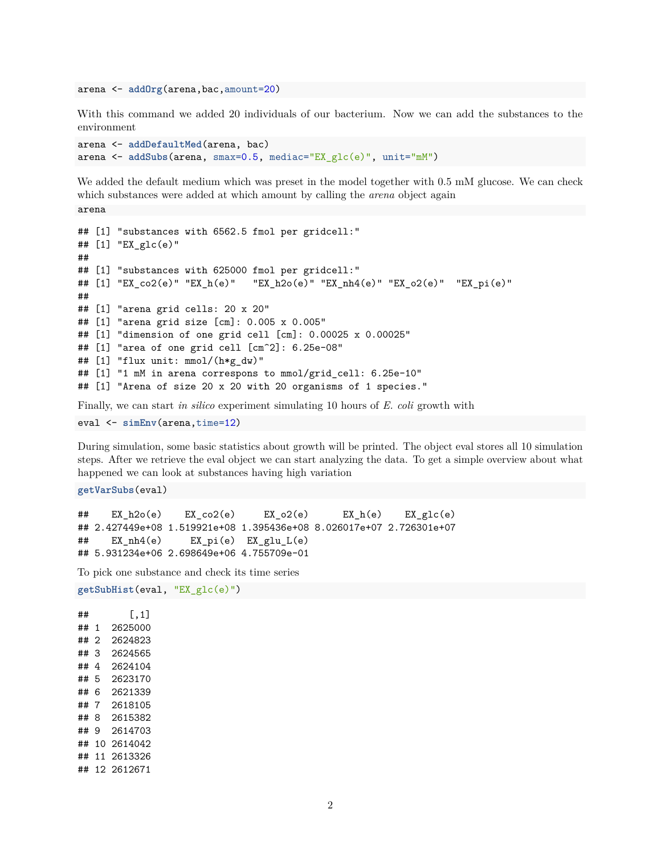```
arena <- addOrg(arena,bac,amount=20)
```
With this command we added 20 individuals of our bacterium. Now we can add the substances to the environment

```
arena <- addDefaultMed(arena, bac)
arena <- addSubs(arena, smax=0.5, mediac="EX_glc(e)", unit="mM")
```
We added the default medium which was preset in the model together with 0.5 mM glucose. We can check which substances were added at which amount by calling the *arena* object again arena

```
## [1] "substances with 6562.5 fmol per gridcell:"
## [1] "EX_glc(e)"
##
## [1] "substances with 625000 fmol per gridcell:"
## [1] "EX_co2(e)" "EX_h(e)" "EX_h2o(e)" "EX_nh4(e)" "EX_o2(e)" "EX_pi(e)"
##
## [1] "arena grid cells: 20 x 20"
## [1] "arena grid size [cm]: 0.005 x 0.005"
## [1] "dimension of one grid cell [cm]: 0.00025 x 0.00025"
## [1] "area of one grid cell [cm^2]: 6.25e-08"
## [1] "flux unit: mmol/(h*g_dw)"
## [1] "1 mM in arena correspons to mmol/grid_cell: 6.25e-10"
## [1] "Arena of size 20 x 20 with 20 organisms of 1 species."
```
Finally, we can start *in silico* experiment simulating 10 hours of *E. coli* growth with

eval <- **simEnv**(arena,time=12)

During simulation, some basic statistics about growth will be printed. The object eval stores all 10 simulation steps. After we retrieve the eval object we can start analyzing the data. To get a simple overview about what happened we can look at substances having high variation

**getVarSubs**(eval)

```
## EX_h2o(e) EX_co2(e) EX_o2(e) EX_h(e) EX_glc(e)
## 2.427449e+08 1.519921e+08 1.395436e+08 8.026017e+07 2.726301e+07
## EX_nh4(e) EX_pi(e) EX_glu_L(e)
## 5.931234e+06 2.698649e+06 4.755709e-01
```
To pick one substance and check its time series

```
getSubHist(eval, "EX_glc(e)")
```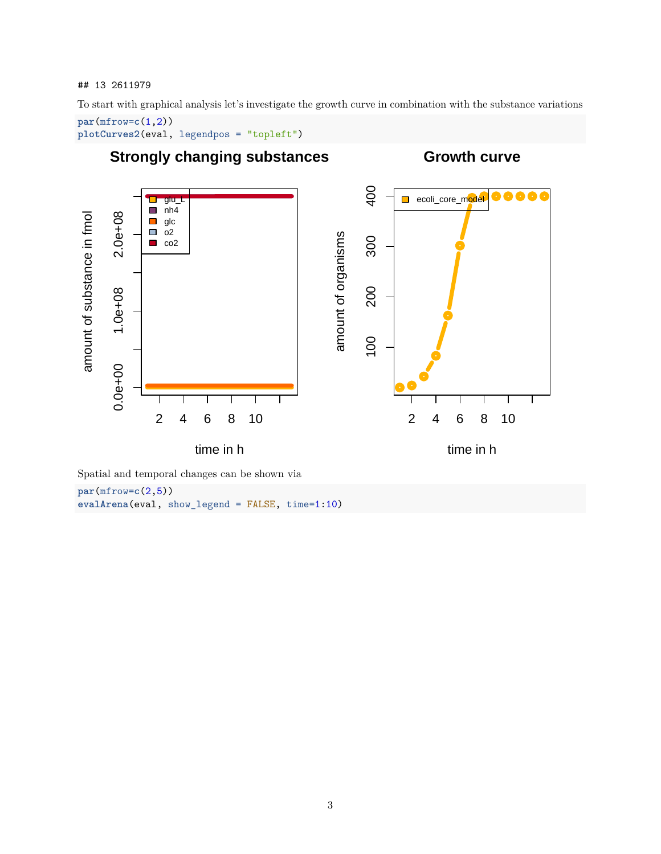### ## 13 2611979

To start with graphical analysis let's investigate the growth curve in combination with the substance variations

```
par(mfrow=c(1,2))
plotCurves2(eval, legendpos = "topleft")
```
# **Strongly changing substances**

**Growth curve**



Spatial and temporal changes can be shown via

**par**(mfrow=**c**(2,5)) **evalArena**(eval, show\_legend = FALSE, time=1:10)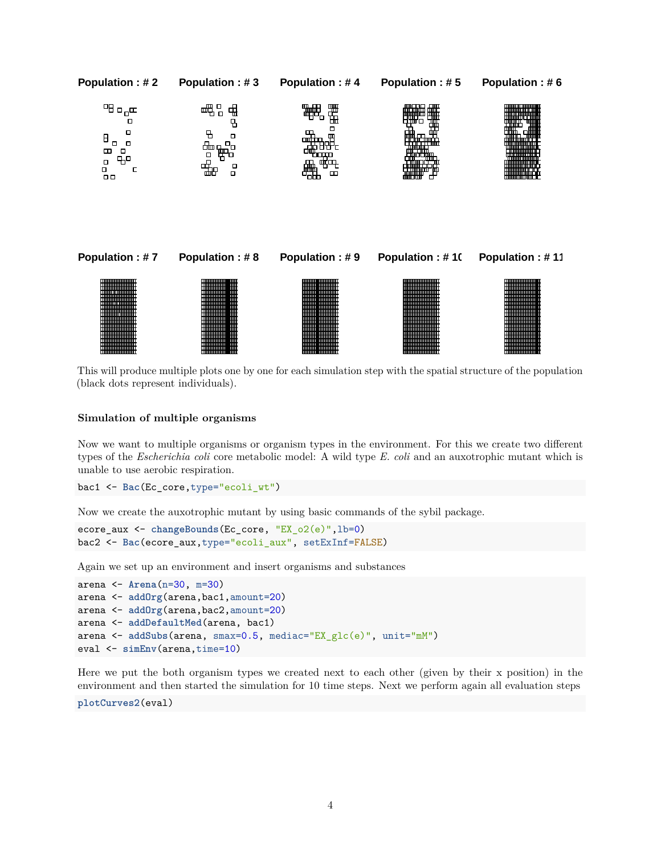

This will produce multiple plots one by one for each simulation step with the spatial structure of the population (black dots represent individuals).

### **Simulation of multiple organisms**

Now we want to multiple organisms or organism types in the environment. For this we create two different types of the *Escherichia coli* core metabolic model: A wild type *E. coli* and an auxotrophic mutant which is unable to use aerobic respiration.

```
bac1 <- Bac(Ec_core,type="ecoli_wt")
```
Now we create the auxotrophic mutant by using basic commands of the sybil package.

```
ecore_aux <- changeBounds(Ec_core, "EX_o2(e)",lb=0)
bac2 <- Bac(ecore_aux,type="ecoli_aux", setExInf=FALSE)
```
Again we set up an environment and insert organisms and substances

```
arena <- Arena(n=30, m=30)
arena <- addOrg(arena,bac1,amount=20)
arena <- addOrg(arena,bac2,amount=20)
arena <- addDefaultMed(arena, bac1)
arena <- addSubs(arena, smax=0.5, mediac="EX_glc(e)", unit="mM")
eval \leq simEnv(arena,time=10)
```
Here we put the both organism types we created next to each other (given by their x position) in the environment and then started the simulation for 10 time steps. Next we perform again all evaluation steps

```
plotCurves2(eval)
```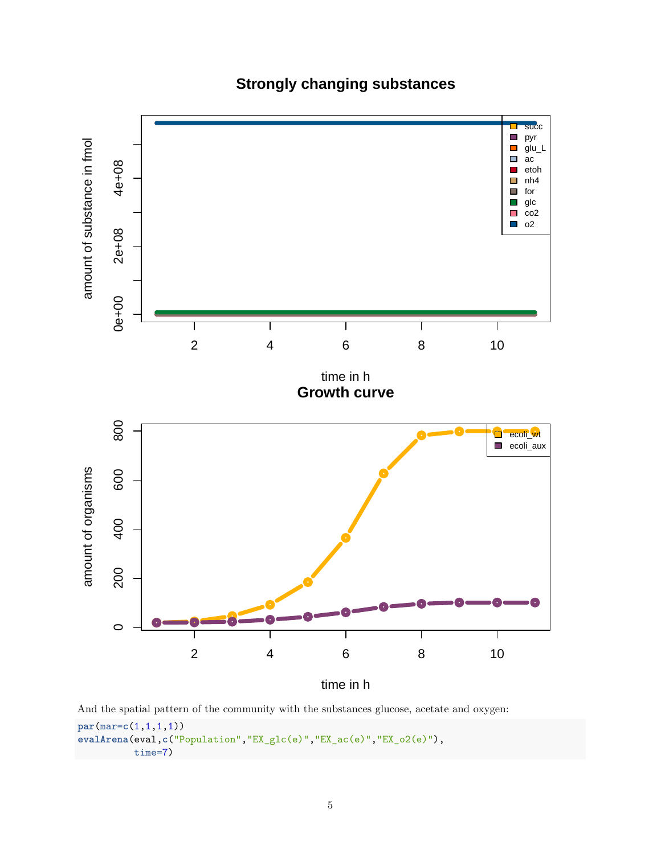**Strongly changing substances**



And the spatial pattern of the community with the substances glucose, acetate and oxygen: **par**(mar=**c**(1,1,1,1)) **evalArena**(eval,**c**("Population","EX\_glc(e)","EX\_ac(e)","EX\_o2(e)"),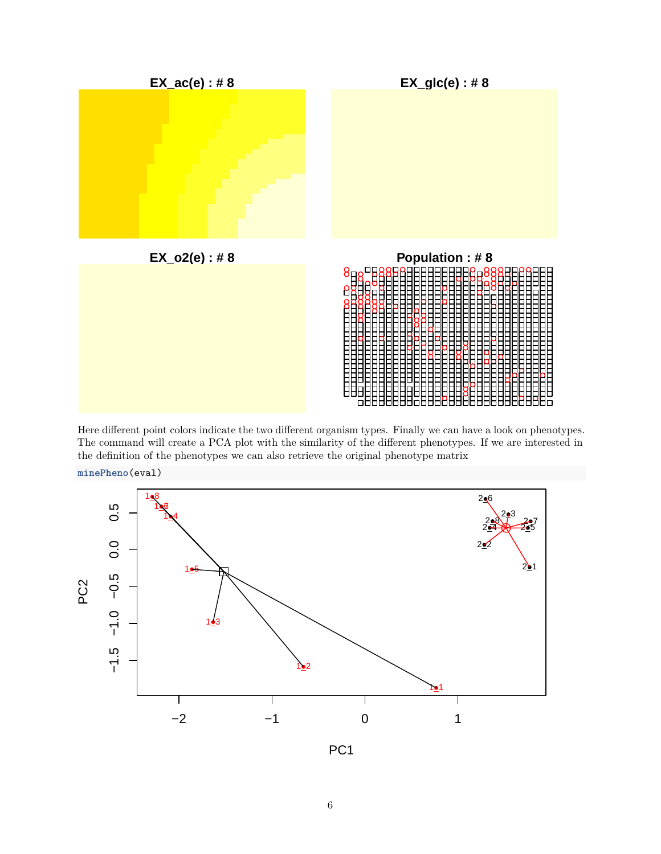

Here different point colors indicate the two different organism types. Finally we can have a look on phenotypes. The command will create a PCA plot with the similarity of the different phenotypes. If we are interested in the definition of the phenotypes we can also retrieve the original phenotype matrix

**minePheno**(eval)

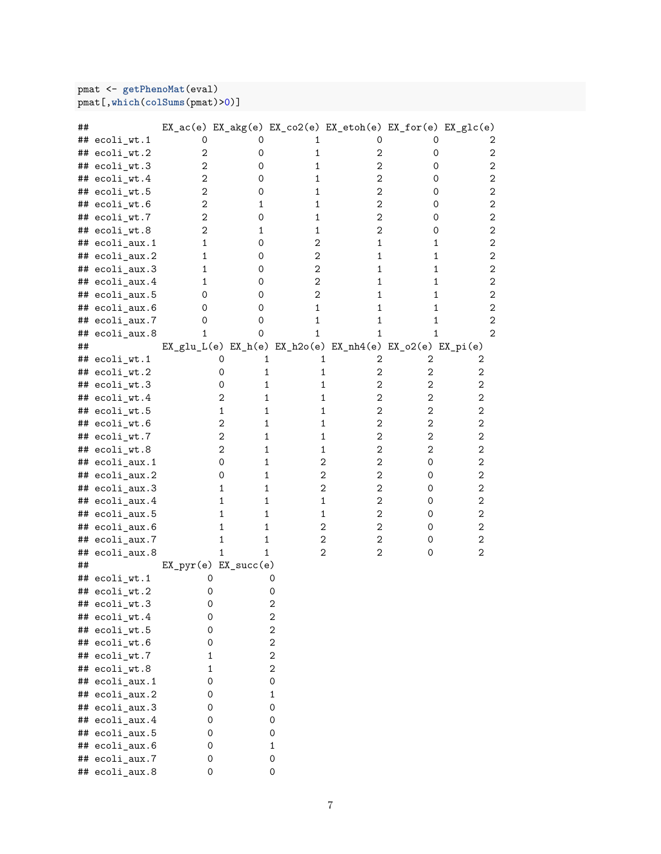pmat <- **getPhenoMat**(eval) pmat[,**which**(**colSums**(pmat)>0)]

| ## |                |                        |                   |              | $EX_{ac}(e) EX_{akg}(e) EX_{co2}(e) EX_{etoh}(e) EX_{for}(e) EX_{glc}(e)$ |              |                  |
|----|----------------|------------------------|-------------------|--------------|---------------------------------------------------------------------------|--------------|------------------|
| ## | ecoli_wt.1     | 0                      | 0                 | 1            | 0                                                                         | 0            | 2                |
| ## | ecoli_wt.2     | 2                      | 0                 | 1            | 2                                                                         | 0            | 2                |
| ## | ecoli_wt.3     | 2                      | 0                 | 1            | 2                                                                         | 0            | 2                |
| ## | ecoli_wt.4     | 2                      | 0                 | 1            | 2                                                                         | 0            | 2                |
| ## | ecoli_wt.5     | $\mathbf{2}$           | 0                 | 1            | 2                                                                         | 0            | 2                |
| ## | ecoli_wt.6     | $\mathbf{2}$           | 1                 | 1            | 2                                                                         | 0            | 2                |
| ## | ecoli_wt.7     | $\mathbf{2}$           | 0                 | 1            | 2                                                                         | 0            | 2                |
| ## | ecoli_wt.8     | $\mathbf{2}$           | 1                 | 1            | 2                                                                         | 0            | 2                |
| ## | ecoli_aux.1    | 1                      | 0                 | 2            | 1                                                                         | 1            | 2                |
| ## | ecoli_aux.2    | 1                      | 0                 | 2            | 1                                                                         | 1            | 2                |
| ## | ecoli_aux.3    | 1                      | 0                 | 2            | 1                                                                         | 1            | 2                |
| ## | ecoli_aux.4    | 1                      | 0                 | 2            | 1                                                                         | 1            | 2                |
| ## | ecoli_aux.5    | 0                      | 0                 | $\mathbf{2}$ | 1                                                                         | 1            | 2                |
| ## | ecoli_aux.6    | 0                      | 0                 | 1            | 1                                                                         | 1            | $\boldsymbol{2}$ |
| ## | ecoli_aux.7    | 0                      | 0                 | 1            | 1                                                                         | 1            | 2                |
|    | ## ecoli_aux.8 | 1                      | 0                 | 1            | 1                                                                         | 1            | $\mathbf{2}$     |
| ## |                |                        |                   |              | $EX_glu_L(e) EX_h(e) EX_h2o(e) EX_h4(e) EX_o2(e) EX_pi(e)$                |              |                  |
| ## | ecoli_wt.1     |                        | 1<br>0            | 1            | 2                                                                         | 2            | 2                |
| ## | ecoli_wt.2     |                        | 1<br>0            | 1            | 2                                                                         | $\mathbf{2}$ | 2                |
| ## | ecoli_wt.3     |                        | 1<br>0            | 1            | 2                                                                         | $\mathbf{2}$ | 2                |
| ## | ecoli_wt.4     |                        | 2<br>1            |              | 2<br>1                                                                    | $\mathbf{2}$ | $\sqrt{2}$       |
| ## | ecoli_wt.5     |                        | 1<br>1            |              | $\sqrt{2}$<br>1                                                           | $\mathbf{2}$ | $\sqrt{2}$       |
| ## | ecoli_wt.6     |                        | 2<br>1            |              | $\sqrt{2}$<br>1                                                           | $\mathbf{2}$ | $\sqrt{2}$       |
| ## | ecoli_wt.7     |                        | 2<br>1            |              | $\sqrt{2}$<br>1                                                           | $\mathbf{2}$ | $\sqrt{2}$       |
| ## | ecoli_wt.8     |                        | $\mathbf{2}$<br>1 |              | $\sqrt{2}$<br>1                                                           | $\mathbf{2}$ | $\sqrt{2}$       |
| ## | ecoli_aux.1    |                        | 0<br>1            | 2            | $\sqrt{2}$                                                                | 0            | $\sqrt{2}$       |
| ## | ecoli_aux.2    |                        | 1<br>0            | 2            | 2                                                                         | 0            | 2                |
| ## | $ecoli_aux.3$  |                        | 1<br>1            | 2            | $\boldsymbol{2}$                                                          | 0            | $\boldsymbol{2}$ |
| ## | $ecoli_aux.4$  |                        | 1<br>1            | 1            | $\boldsymbol{2}$                                                          | 0            | $\boldsymbol{2}$ |
| ## | $ecoli_aux.5$  |                        | 1<br>1            |              | $\boldsymbol{2}$<br>1                                                     | 0            | $\boldsymbol{2}$ |
| ## | $ecoli_aux.6$  |                        | 1<br>1            | 2            | $\boldsymbol{2}$                                                          | 0            | $\boldsymbol{2}$ |
| ## | ecoli_aux.7    |                        | 1<br>1            | 2            | $\boldsymbol{2}$                                                          | 0            | $\boldsymbol{2}$ |
|    | ## ecoli_aux.8 |                        | 1<br>1            | 2            | 2                                                                         | 0            | 2                |
| ## |                | $EX_pyr(e) EX_succ(e)$ |                   |              |                                                                           |              |                  |
|    | ## ecoli_wt.1  | Ő                      |                   | 0            |                                                                           |              |                  |
|    | ## ecoli_wt.2  | 0                      |                   | 0            |                                                                           |              |                  |
|    | ## ecoli wt.3  | 0                      |                   | 2            |                                                                           |              |                  |
|    | ## ecoli_wt.4  | 0                      |                   | 2            |                                                                           |              |                  |
|    | ## ecoli_wt.5  | 0                      |                   | 2            |                                                                           |              |                  |
|    | ## ecoli_wt.6  | 0                      |                   | 2            |                                                                           |              |                  |
|    | ## ecoli_wt.7  | 1                      |                   | 2            |                                                                           |              |                  |
|    | ## ecoli_wt.8  | 1                      |                   | 2            |                                                                           |              |                  |
|    | ## ecoli_aux.1 | 0                      |                   | 0            |                                                                           |              |                  |
|    | ## ecoli_aux.2 | 0                      |                   | 1            |                                                                           |              |                  |
|    | ## ecoli_aux.3 | 0                      |                   | 0            |                                                                           |              |                  |
|    | ## ecoli_aux.4 | 0                      |                   | 0            |                                                                           |              |                  |
|    | ## ecoli_aux.5 | 0                      |                   | 0            |                                                                           |              |                  |
|    | ## ecoli_aux.6 | 0                      |                   | 1            |                                                                           |              |                  |
|    | ## ecoli_aux.7 | 0                      |                   | 0            |                                                                           |              |                  |
|    | ## ecoli_aux.8 | 0                      |                   | 0            |                                                                           |              |                  |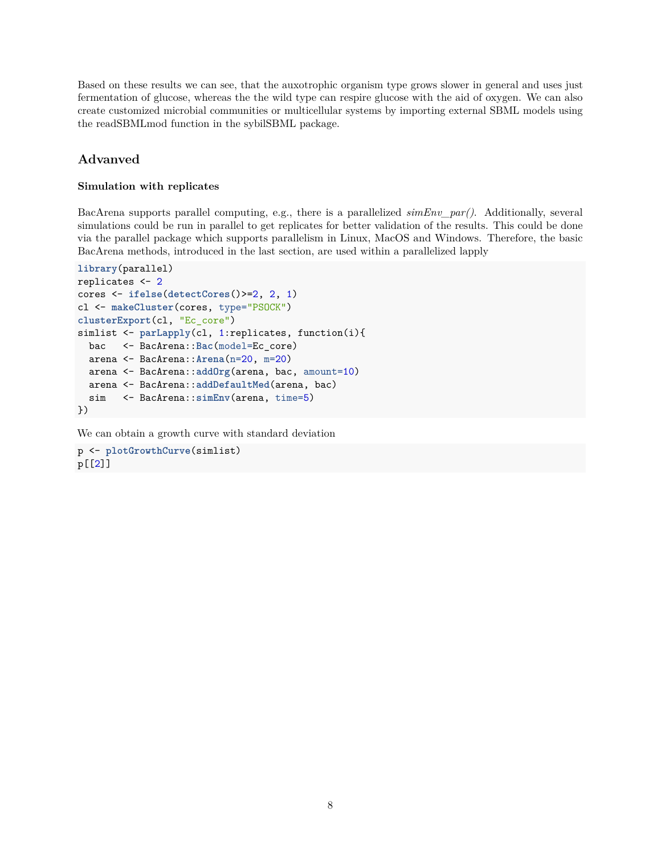Based on these results we can see, that the auxotrophic organism type grows slower in general and uses just fermentation of glucose, whereas the the wild type can respire glucose with the aid of oxygen. We can also create customized microbial communities or multicellular systems by importing external SBML models using the readSBMLmod function in the sybilSBML package.

### **Advanved**

### **Simulation with replicates**

BacArena supports parallel computing, e.g., there is a parallelized *simEnv\_par()*. Additionally, several simulations could be run in parallel to get replicates for better validation of the results. This could be done via the parallel package which supports parallelism in Linux, MacOS and Windows. Therefore, the basic BacArena methods, introduced in the last section, are used within a parallelized lapply

```
library(parallel)
replicates <- 2
cores <- ifelse(detectCores()>=2, 2, 1)
cl <- makeCluster(cores, type="PSOCK")
clusterExport(cl, "Ec_core")
simlist <- parLapply(cl, 1:replicates, function(i){
  bac <- BacArena::Bac(model=Ec_core)
  arena <- BacArena::Arena(n=20, m=20)
  arena <- BacArena::addOrg(arena, bac, amount=10)
  arena <- BacArena::addDefaultMed(arena, bac)
  sim <- BacArena::simEnv(arena, time=5)
})
```
We can obtain a growth curve with standard deviation

```
p <- plotGrowthCurve(simlist)
p[[2]]
```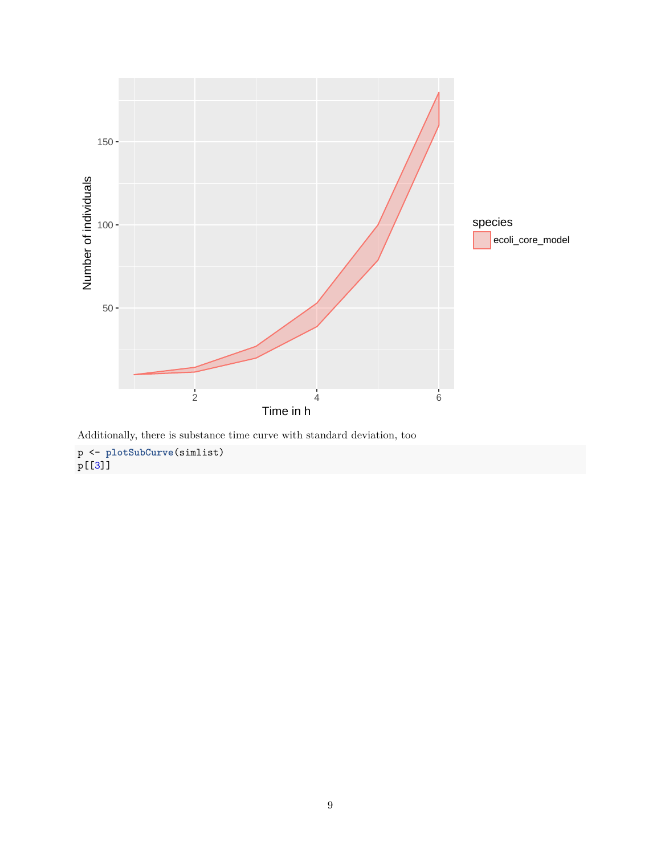

p <- **plotSubCurve**(simlist) p[[3]]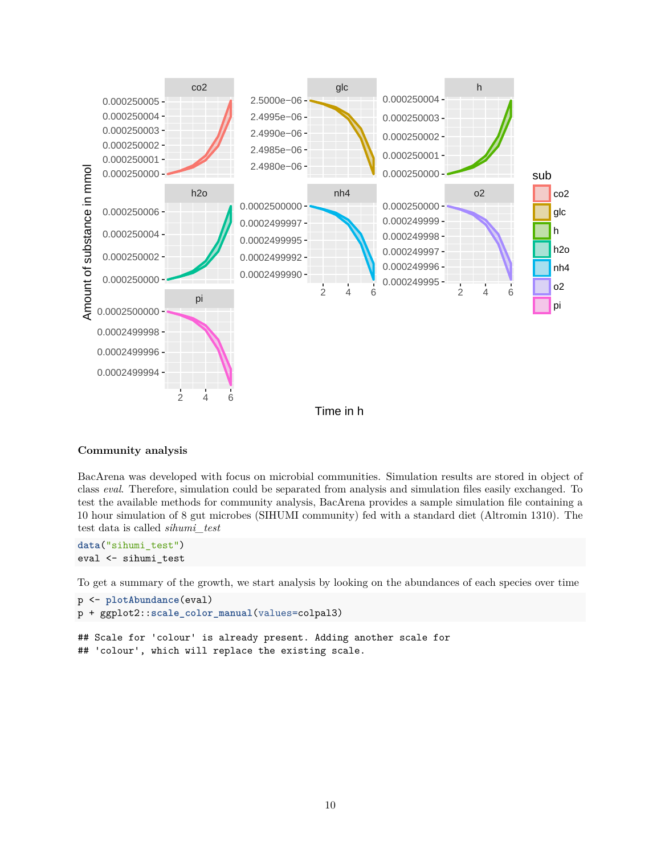

### **Community analysis**

BacArena was developed with focus on microbial communities. Simulation results are stored in object of class *eval*. Therefore, simulation could be separated from analysis and simulation files easily exchanged. To test the available methods for community analysis, BacArena provides a sample simulation file containing a 10 hour simulation of 8 gut microbes (SIHUMI community) fed with a standard diet (Altromin 1310). The test data is called *sihumi\_test*

**data**("sihumi\_test") eval <- sihumi\_test

To get a summary of the growth, we start analysis by looking on the abundances of each species over time

```
p <- plotAbundance(eval)
p + ggplot2::scale_color_manual(values=colpal3)
## Scale for 'colour' is already present. Adding another scale for
## 'colour', which will replace the existing scale.
```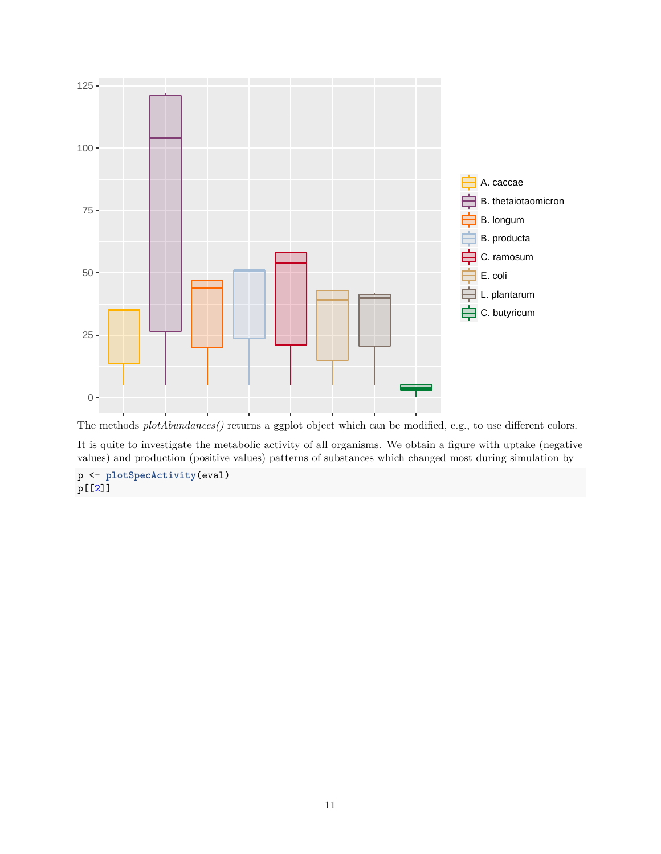

The methods *plotAbundances()* returns a ggplot object which can be modified, e.g., to use different colors.

It is quite to investigate the metabolic activity of all organisms. We obtain a figure with uptake (negative values) and production (positive values) patterns of substances which changed most during simulation by

p <- **plotSpecActivity**(eval) p[[2]]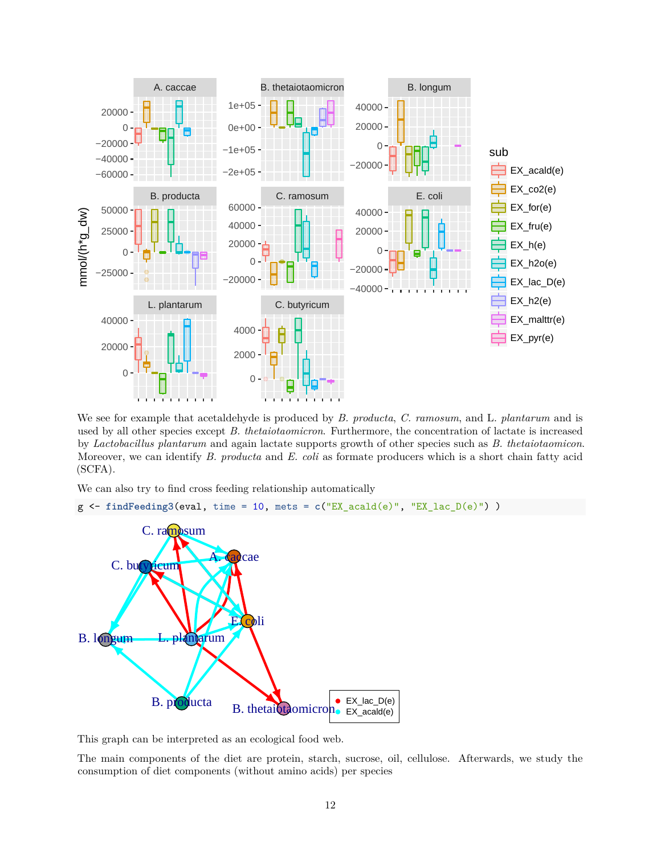

We see for example that acetaldehyde is produced by *B. producta*, *C. ramosum*, and L. *plantarum* and is used by all other species except *B. thetaiotaomicron*. Furthermore, the concentration of lactate is increased by *Lactobacillus plantarum* and again lactate supports growth of other species such as *B. thetaiotaomicon*. Moreover, we can identify *B. producta* and *E. coli* as formate producers which is a short chain fatty acid (SCFA).

We can also try to find cross feeding relationship automatically

 $g \leftarrow \text{findFeeding3}\left(\text{eval}, \text{time} = 10, \text{mets} = c\left(\text{"EX\_acald}(e)\text{''}, \text{ "EX\_lac_D}(e)\text{''}\right)\right)$ 



This graph can be interpreted as an ecological food web.

The main components of the diet are protein, starch, sucrose, oil, cellulose. Afterwards, we study the consumption of diet components (without amino acids) per species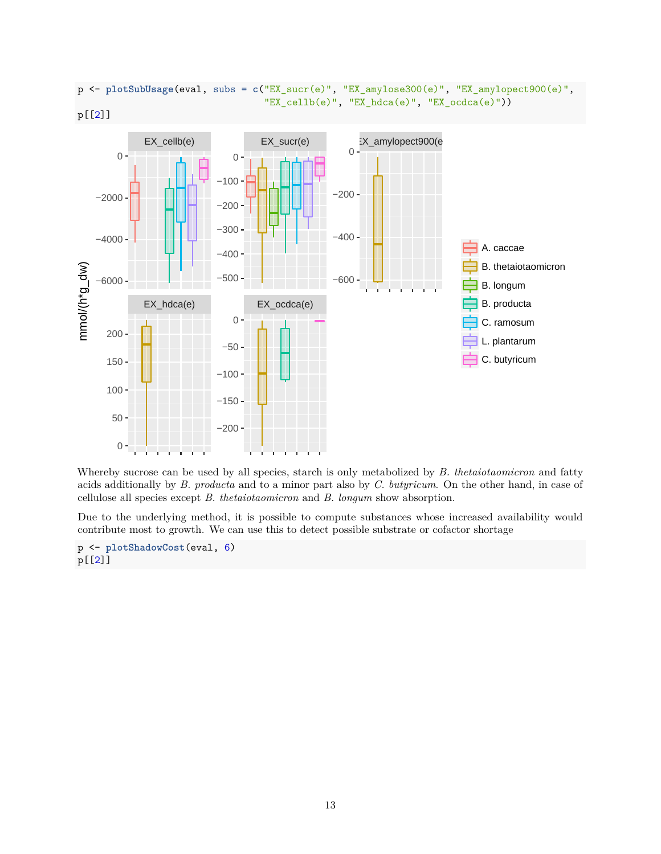

Whereby sucrose can be used by all species, starch is only metabolized by *B. thetaiotaomicron* and fatty acids additionally by *B. producta* and to a minor part also by *C. butyricum*. On the other hand, in case of cellulose all species except *B. thetaiotaomicron* and *B. longum* show absorption.

Due to the underlying method, it is possible to compute substances whose increased availability would contribute most to growth. We can use this to detect possible substrate or cofactor shortage

```
p <- plotShadowCost(eval, 6)
p[[2]]
```